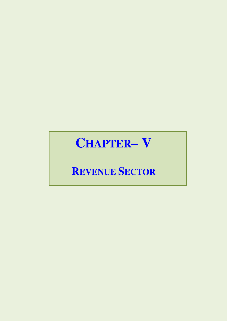# **CHAPTER– V**

# **REVENUE SECTOR**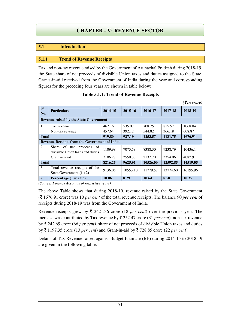# **fCHAPTER - IV: REVENUE SECTOR CHAPTER - V: REVENUE SECTOR**

# **5.1 Introduction**

#### **5.1.1 Trend of Revenue Receipts**

Tax and non-tax revenue raised by the Government of Arunachal Pradesh during 2018-19, the State share of net proceeds of divisible Union taxes and duties assigned to the State, Grants-in-aid received from the Government of India during the year and corresponding figures for the preceding four years are shown in table below:

|              |                                                              |         |                    |          |          | $( \bar{\mathbf{\xi}}$ in crore) |
|--------------|--------------------------------------------------------------|---------|--------------------|----------|----------|----------------------------------|
| SI.<br>No.   | <b>Particulars</b>                                           | 2014-15 | 2015-16<br>2016-17 |          | 2017-18  | 2018-19                          |
|              | <b>Revenue raised by the State Government</b>                |         |                    |          |          |                                  |
| 1.           | Tax revenue                                                  | 462.16  | 535.07             | 708.75   | 815.57   | 1068.04                          |
|              | Non-tax revenue                                              | 457.64  | 392.12             | 544.82   | 366.18   | 608.87                           |
| <b>Total</b> |                                                              | 919.80  | 927.19             | 1253.57  | 1181.75  | 1676.91                          |
|              | <b>Revenue Receipts from the Government of India</b>         |         |                    |          |          |                                  |
| 2.           | Share of net proceeds of<br>divisible Union taxes and duties | 1109.98 | 7075.58            | 8388.30  | 9238.79  | 10436.14                         |
|              | Grants-in-aid                                                | 7106.27 | 2550.33            | 2137.70  | 3354.06  | 4082.91                          |
| <b>Total</b> |                                                              | 8216.25 | 9625.91            | 10526.00 | 12592.85 | 14519.05                         |
| 3.           | Total revenue receipts of the<br>State Government $(1+2)$    | 9136.05 | 10553.10           | 11779.57 | 13774.60 | 16195.96                         |
| 4.           | Percentage (1 w.r.t 3)                                       | 10.06   | 8.79               | 10.64    | 8.58     | 10.35                            |

|  |  | <b>Table 5.1.1: Trend of Revenue Receipts</b> |  |
|--|--|-----------------------------------------------|--|
|--|--|-----------------------------------------------|--|

*(Source: Finance Accounts of respective years)* 

The above Table shows that during 2018-19, revenue raised by the State Government (` 1676.91 crore) was 10 *per cent* of the total revenue receipts. The balance 90 *per cent* of receipts during 2018-19 was from the Government of India.

Revenue receipts grew by  $\bar{\tau}$  2421.36 crore (18 *per cent*) over the previous year. The increase was contributed by Tax revenue by  $\bar{\tau}$  252.47 crore (31 *per cent*), non-tax revenue by  $\bar{\tau}$  242.69 crore (66 *per cent*), share of net proceeds of divisible Union taxes and duties by  $\bar{\tau}$  1197.35 crore (13 *per cent*) and Grant-in-aid by  $\bar{\tau}$  728.85 crore (22 *per cent*).

Details of Tax Revenue raised against Budget Estimate (BE) during 2014-15 to 2018-19 are given in the following table: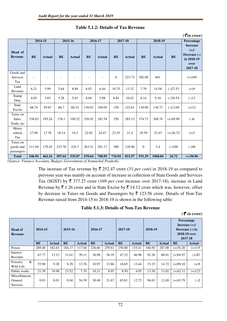|                                     |           |               |           |               |           |               |           |               |           |               |            | $( \bar{\mathbf{z}}$ in crore)                                              |
|-------------------------------------|-----------|---------------|-----------|---------------|-----------|---------------|-----------|---------------|-----------|---------------|------------|-----------------------------------------------------------------------------|
|                                     |           | 2014-15       |           | 2015-16       |           | 2016-17       |           | 2017-18       |           | 2018-19       |            | Percentage                                                                  |
| Head of<br><b>Revenue</b>           | <b>BE</b> | <b>Actual</b> | <b>BE</b> | <b>Actual</b> | <b>BE</b> | <b>Actual</b> | <b>BE</b> | <b>Actual</b> | <b>BE</b> | <b>Actual</b> | <b>BE</b>  | <b>Increase</b><br>$(+)$ /<br>Decrease (-)<br>in 2018-19<br>over<br>2017-18 |
| Goods and<br>Services<br>Tax        |           |               |           |               |           |               | $\theta$  | 223.73        | 382.08    | 601           |            | $(+)169$                                                                    |
| Land<br>Revenue                     | 6.21      | 5.99          | 5.64      | 8.89          | 8.92      | 6.44          | 10.75     | 13.32         | 7.79      | 14.58         | $(-)27.53$ | $(+)9$                                                                      |
| Stamp<br>Duty                       | 4.03      | 3.83          | 5.28      | 5.63          | 8.04      | 5.08          | 8.84      | 10.42         | 6.14      | 9.16          | $(-)30.54$ | $(-)12$                                                                     |
| <b>State</b><br>Excise              | 68.74     | 59.87         | 66.7      | 86.33         | 130.63    | 109.05        | 150       | 122.61        | 130.96    | 136.73        | $(-)12.69$ | $(+)12$                                                                     |
| Taxes on<br>Sales,<br>Trade, etc    | 338.03    | 195.24        | 178.1     | 190.22        | 236.92    | 282.54        | 250       | 285.13        | 374.73    | 268.74        | $(+)49.89$ | $(-)6$                                                                      |
| Motor<br>vehicle<br>Tax             | 17.99     | 17.78         | 18.14     | 19.3          | 22.82     | 24.47         | 23.35     | 31.4          | 29.59     | 32.43         | $(+)26.72$ | $(+)3$                                                                      |
| Taxes on<br>goods and<br>passengers | 111.94    | 179.45        | 233.78    | 224.7         | 263.31    | 281.17        | 300       | 128.96        | $\theta$  | 5.4           | $(-100)$   | $(-)96$                                                                     |
| <b>Total</b>                        | 546.94    | 462.16        | 507.64    | 535.07        | 670.64    | 708.95        | 734.94    | 815.57        | 931.29    | 1068.04       | 26.72      | $(+)30.96$                                                                  |

#### **Table 5.1.2: Details of Tax Revenue**

*(Source: Finance Accounts, Budget, Government of Arunachal Pradesh)* 

The increase of Tax revenue by  $\bar{\tau}$  252.47 crore (31 *per cent*) in 2018-19 as compared to previous year was mainly on account of increase in collection of State Goods and Services Tax (SGST) by  $\bar{\xi}$  377.27 crore (169 *per cent* increase over 2017-18), increase in Land Revenue by  $\bar{\tau}$  1.26 crore and in State Excise by  $\bar{\tau}$  14.12 crore which was, however, offset by decrease in Taxes on Goods and Passengers by  $\bar{\tau}$  123.56 crore. Details of Non-Tax Revenue raised from 2014-15 to 2018-19 is shown in the following table:

**Table 5.1.3: Details of Non-Tax Revenue** 

*(*` *in crore)*

| <b>Head of</b><br><b>Revenue</b>            | 2014-15   |        | 2015-16   |        | 2016-17   |               | 2017-18   |               | 2018-19   |        | <b>Percentage</b><br>Increase $(+)/$<br>Decrease (-) in<br>2018-19 over<br>2017-18 |               |
|---------------------------------------------|-----------|--------|-----------|--------|-----------|---------------|-----------|---------------|-----------|--------|------------------------------------------------------------------------------------|---------------|
|                                             | <b>BE</b> | Actual | <b>BE</b> | Actual | <b>BE</b> | <b>Actual</b> | <b>BE</b> | <b>Actual</b> | <b>BE</b> | Actual | BE                                                                                 | <b>Actual</b> |
| Power                                       | 289.48    | 182.63 | 184.17    | 117.04 | 226.66    | 259.61        | 250.00    | 133.41        | 340.50    | 287.08 | $(+)36.20$                                                                         | $(+)115$      |
| Interest<br>Receipts                        | 67.77     | 13.12  | 31.61     | 39.11  | 36.98     | 56.39         | 47.32     | 46.98         | 92.26     | 88.01  | $(+)94.97$                                                                         | $(+)87$       |
| &<br>Forestry<br>Wild Life                  | 55.90     | 9.28   | 8.29      | 13.76  | 10.97     | 13.86         | 16.65     | 13.44         | 33.15     | 14.72  | $(+)99.10$                                                                         | $(+)9$        |
| Public works                                | 21.39     | 19.98  | 23.52     | 7.35   | 10.21     | 8.95          | 9.50      | 4.95          | 13.50     | 11.02  | $(+)42.11$                                                                         | $(+)123$      |
| Miscellaneous<br>General<br><b>Services</b> | 0.03      | 0.01   | 0.04      | 54.39  | 30.48     | 21.67         | 65.81     | 12.75         | 94.63     | 12.49  | $(+)43.79$                                                                         | $(-)2$        |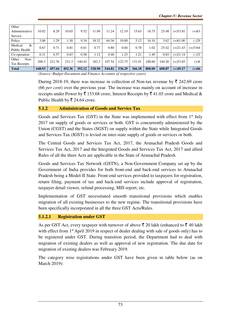| Other<br>Administrative<br>Service | 10.02  | 8.29   | 10.65  | 9.52   | 1.09   | 11.24  | 12.19  | 15.63  | 18.75  | 25.48  | $(+)$ 53.81 | $(+)63$   |
|------------------------------------|--------|--------|--------|--------|--------|--------|--------|--------|--------|--------|-------------|-----------|
| Police                             | 3.06   | .29    | .30    | 9.34   | 18.32  | 64.36  | 10.00  | 5.12   | 16.10  | 3.62   | $(+)61.00$  | $(-)29$   |
| Medical<br>&<br>Public Health      | 0.67   | 0.71   | 0.81   | 0.61   | 0.77   | 0.80   | 0.84   | 0.78   | 1.02   | 25.42  | $(+)21.43$  | $(+)3164$ |
| Co-operation                       | 0.31   | 0.57   | 0.67   | 0.58   | 1.12   | 0.40   | 1.23   | 1.21   | 1.49   | 0.83   | $(+)21.14$  | $(-)32$   |
| Other<br>Non-<br>Tax Receipts      | 200.3  | 221.76 | 231.3  | 140.42 | 182.3  | 107.54 | 122.75 | 131.91 | 188.60 | 140.20 | $(+)$ 53.65 | $(+)6$    |
| <b>Total</b>                       | 648.93 | 457.64 | 492.36 | 392.12 | 528.90 | 544.82 | 536.29 | 366.18 | 800.00 | 608.87 | $(+)49.17$  | $(+)66$   |

*(Source: Budget Document and Finance Accounts of respective years)* 

During 2018-19, there was increase in collection of Non-tax revenue by  $\bar{\tau}$  242.69 crore (66 *per cent*) over the previous year. The increase was mainly on account of increase in receipts under Power by  $\bar{\tau}$  153.68 crore; Interest Receipts by  $\bar{\tau}$  41.03 crore and Medical & Public Health by  $\overline{\mathfrak{e}}$  24.64 crore.

#### **5.1.2 Administration of Goods and Service Tax**

Goods and Services Tax (GST) in the State was implemented with effect from 1<sup>st</sup> July 2017 on supply of goods or services or both. GST is concurrently administered by the Union (CGST) and the States (SGST) on supply within the State while Integrated Goods and Services Tax (IGST) is levied on inter-state supply of goods or services or both.

The Central Goods and Services Tax Act, 2017, the Arunachal Pradesh Goods and Services Tax Act, 2017 and the Integrated Goods and Services Tax Act, 2017 and allied Rules of all the three Acts are applicable in the State of Arunachal Pradesh.

Goods and Services Tax Network (GSTN), a Non-Government Company set up by the Government of India provides for both front-end and back-end services to Arunachal Pradesh being a Model-II State. Front-end services provided to taxpayers for registration, return filing, payment of tax and back-end services include approval of registration, taxpayer detail viewer, refund processing, MIS report, etc.

Implementation of GST necessitated smooth transitional provisions which enables migration of all existing businesses to the new regime. The transitional provisions have been specifically incorporated in all the three GST Acts/Rules.

# **5.1.2.1****Registration under GST**

As per GST Act, every taxpayer with turnover of above  $\bar{\xi}$  20 lakh (enhanced to  $\bar{\xi}$  40 lakh with effect from 1<sup>st</sup> April 2019 in respect of dealer dealing with sale of goods only) has to be registered under GST. During transition period, the Department had to deal with migration of existing dealers as well as approval of new registration. The due date for migration of existing dealers was February 2019.

The category wise registrations under GST have been given in table below (as on March 2019):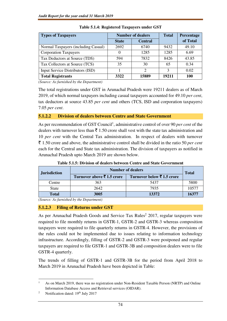| <b>Types of Taxpayers</b>           |              | <b>Number of dealers</b> | <b>Total</b> | Percentage |
|-------------------------------------|--------------|--------------------------|--------------|------------|
|                                     | <b>State</b> | <b>Central</b>           |              | of Total   |
| Normal Taxpayers (including Casual) | 2692         | 6740                     | 9432         | 49.10      |
| <b>Corporation Taxpayers</b>        |              | 1285                     | 1285         | 6.69       |
| Tax Deductors at Source (TDS)       | 594          | 7832                     | 8426         | 43.85      |
| Tax Collectors at Source (TCS)      | 35           | 30                       | 65           | 0.34       |
| Input Service Distributors (ISD)    |              | C                        | 3            | 0.02       |
| <b>Total Registrants</b>            | 3322         | 15889                    | 19211        | 100        |

**Table 5.1.4: Registered Taxpayers under GST**

*(Source: As furnished by the Department)* 

The total registrations under GST in Arunachal Pradesh were 19211 dealers as of March 2019, of which normal taxpayers including casual taxpayers accounted for 49.10 *per cent*, tax deductors at source 43.85 *per cent* and others (TCS, ISD and corporation taxpayers) 7.05 *per cent*.

# **5.1.2.2 Division of dealers between Centre and State Government**

As per recommendation of GST Council<sup>1</sup>, administrative control of over 90 *per cent* of the dealers with turnover less than  $\bar{\tau}$  1.50 crore shall vest with the state tax administration and 10 *per cent* with the Central Tax administration. In respect of dealers with turnover ` 1.50 crore and above, the administrative control shall be divided in the ratio 50 *per cent* each for the Central and State tax administration. The division of taxpayers as notified in Arunachal Pradesh upto March 2019 are shown below.

| <b>Jurisdiction</b> | <b>Number of dealers</b>  | <b>Total</b>               |       |
|---------------------|---------------------------|----------------------------|-------|
|                     | Turnover above ₹1.5 crore | Turnover below ₹ 1.5 crore |       |
| Centre              | 363                       | 5437                       | 5800  |
| <b>State</b>        | 2642                      | 7935                       | 10577 |
| <b>Total</b>        | 3005                      | 13372                      | 16377 |

**Table 5.1.5: Division of dealers between Centre and State Government** 

*(Source: As furnished by the Department)* 

# **5.1.2.3 Filing of Returns under GST**

As per Arunachal Pradesh Goods and Service Tax Rules 2 2017, regular taxpayers were required to file monthly returns in GSTR-1, GSTR-2 and GSTR-3 whereas composition taxpayers were required to file quarterly returns in GSTR-4. However, the provisions of the rules could not be implemented due to issues relating to information technology infrastructure. Accordingly, filling of GSTR-2 and GSTR-3 were postponed and regular taxpayers are required to file GSTR-1 and GSTR-3B and composition dealers were to file GSTR-4 quarterly.

The trends of filling of GSTR-1 and GSTR-3B for the period from April 2018 to March 2019 in Arunachal Pradesh have been depicted in Table:

<sup>1</sup> As on March 2019, there was no registration under Non-Resident Taxable Person (NRTP) and Online Information Database Access and Retrieval services (OIDAR).

<sup>2</sup> Notification dated: 19th July 2017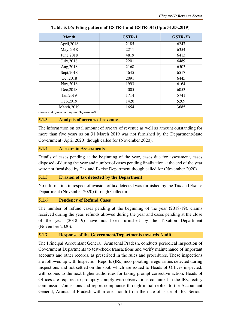| <b>Month</b> | <b>GSTR-1</b> | <b>GSTR-3B</b> |
|--------------|---------------|----------------|
| April, 2018  | 2185          | 6247           |
| May, 2018    | 2211          | 6354           |
| June, 2018   | 4819          | 6413           |
| July, 2018   | 2201          | 6489           |
| Aug, 2018    | 2168          | 6503           |
| Sept, 2018   | 4645          | 6517           |
| Oct, 2018    | 2091          | 6445           |
| Nov, 2018    | 1993          | 6164           |
| Dec, 2018    | 4005          | 6053           |
| Jan, 2019    | 1714          | 5741           |
| Feb, 2019    | 1420          | 5209           |
| March, 2019  | 1654          | 3685           |

**Table 5.1.6: Filing pattern of GSTR-1 and GSTR-3B (Upto 31.03.2019)** 

*(Source: As furnished by the Department)* 

#### **5.1.3 Analysis of arrears of revenue**

The information on total amount of arrears of revenue as well as amount outstanding for more than five years as on 31 March 2019 was not furnished by the Department/State Government (April 2020) though called for (November 2020).

# **5.1.4 Arrears in Assessments**

Details of cases pending at the beginning of the year, cases due for assessment, cases disposed of during the year and number of cases pending finalization at the end of the year were not furnished by Tax and Excise Department though called for (November 2020).

#### **5.1.5 Evasion of tax detected by the Department**

No information in respect of evasion of tax detected was furnished by the Tax and Excise Department (November 2020) through Collector.

#### **5.1.6 Pendency of Refund Cases**

The number of refund cases pending at the beginning of the year (2018-19), claims received during the year, refunds allowed during the year and cases pending at the close of the year (2018-19) have not been furnished by the Taxation Department (November 2020).

#### **5.1.7 Response of the Government/Departments towards Audit**

The Principal Accountant General, Arunachal Pradesh, conducts periodical inspection of Government Departments to test-check transactions and verify maintenance of important accounts and other records, as prescribed in the rules and procedures. These inspections are followed up with Inspection Reports (IRs) incorporating irregularities detected during inspections and not settled on the spot, which are issued to Heads of Offices inspected, with copies to the next higher authorities for taking prompt corrective action. Heads of Offices are required to promptly comply with observations contained in the IRs, rectify commissions/omissions and report compliance through initial replies to the Accountant General, Arunachal Pradesh within one month from the date of issue of IRs. Serious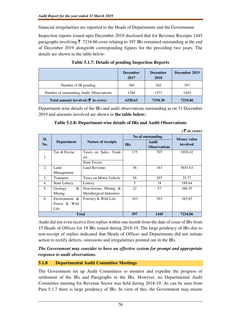financial irregularities are reported to the Heads of Departments and the Government.

Inspection reports issued upto December 2019 disclosed that for Revenue Receipts 1445 paragraphs involving  $\overline{\zeta}$  7234.86 crore relating to 397 IRs remained outstanding at the end of December 2019 alongwith corresponding figures for the preceding two years. The details are shown in the table below:

|                                                | <b>December</b><br>2017 | <b>December</b><br>2018 | December 2019 |
|------------------------------------------------|-------------------------|-------------------------|---------------|
| Number of IR pending                           | 360                     | 382                     | 397           |
| Number of outstanding Audit Observations       | 1284                    | 1371                    | 1445          |
| Total amount involved $(\bar{\tau})$ in crore) | 6320.63                 | 7194.30                 | 7234.86       |

**Table 5.1.7: Details of pending Inspection Reports** 

Department-wise details of the IRs and audit observations outstanding as on 31 December 2019 and amounts involved are shown in **the table below:** 

|     |                      |                           |            |                              | $($ $\mu$ $\iota$ $\nu$ $\iota$ $\nu$ $\iota$ $\nu$ |  |
|-----|----------------------|---------------------------|------------|------------------------------|-----------------------------------------------------|--|
| SI. |                      |                           |            | No of outstanding            | <b>Money value</b>                                  |  |
| No. | <b>Department</b>    | <b>Nature of receipts</b> | <b>IRs</b> | Audit<br><b>Observations</b> | involved                                            |  |
|     | Tax & Excise         | Taxes on Sales, Trade     | 175        | 707                          | 1038.42                                             |  |
| 1.  | etc.                 |                           |            |                              |                                                     |  |
|     |                      | <b>State Excise</b>       |            |                              |                                                     |  |
| 2.  | Land                 | <b>Land Revenue</b>       | 36         | 163                          | 5655.63                                             |  |
|     | Management           |                           |            |                              |                                                     |  |
| 3.  | Transport            | Taxes on Motor Vehicle    | 56         | 207                          | 25.77                                               |  |
| 4.  | <b>State Lottery</b> | Lottery                   | 5          | 18                           | 189.64                                              |  |
| 5.  | &<br>Geology         | Non-ferrous Mining $\&$   | 22         | 57                           | 160.35                                              |  |
|     | Mining               | Metallurgical Industries  |            |                              |                                                     |  |
| 6.  | Environment $\&$     | Forestry & Wild Life      | 103        | 293                          | 165.05                                              |  |
|     | Forest & Wild        |                           |            |                              |                                                     |  |
|     | Life                 |                           |            |                              |                                                     |  |
|     | <b>Total</b>         |                           | 397        | 1445                         | 7234.86                                             |  |

# **Table 5.1.8: Department-wise details of IRs and Audit Observations**

*(*` *in crore)* 

Audit did not even receive first replies within one month from the date of issue of IRs from 15 Heads of Offices for 18 IRs issued during 2018-19. The large pendency of IRs due to non-receipt of replies indicated that Heads of Offices and Departments did not initiate action to rectify defects, omissions and irregularities pointed out in the IRs.

# *The Government may consider to have an effective system for prompt and appropriate response to audit observations.*

# **5.1.8 Departmental Audit Committee Meetings**

The Government set up Audit Committees to monitor and expedite the progress of settlement of the IRs and Paragraphs in the IRs. However, no Departmental Audit Committee meeting for Revenue Sector was held during 2018-19. As can be seen from Para 5.1.7 there is large pendency of IRs. In view of this, the Government may ensure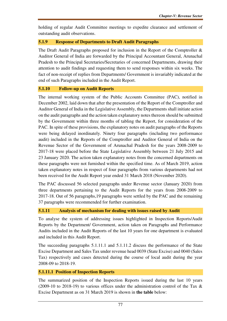holding of regular Audit Committee meetings to expedite clearance and settlement of outstanding audit observations.

#### **5.1.9 Response of Departments to Draft Audit Paragraphs**

The Draft Audit Paragraphs proposed for inclusion in the Report of the Comptroller & Auditor General of India are forwarded by the Principal Accountant General, Arunachal Pradesh to the Principal Secretaries/Secretaries of concerned Departments, drawing their attention to audit findings and requesting them to send responses within six weeks. The fact of non-receipt of replies from Departments/ Government is invariably indicated at the end of such Paragraphs included in the Audit Report.

#### **5.1.10 Follow-up on Audit Reports**

The internal working system of the Public Accounts Committee (PAC), notified in December 2002, laid down that after the presentation of the Report of the Comptroller and Auditor General of India in the Legislative Assembly, the Departments shall initiate action on the audit paragraphs and the action taken explanatory notes thereon should be submitted by the Government within three months of tabling the Report, for consideration of the PAC. In spite of these provisions, the explanatory notes on audit paragraphs of the Reports were being delayed inordinately. Ninety four paragraphs (including two performance audit) included in the Reports of the Comptroller and Auditor General of India on the Revenue Sector of the Government of Arunachal Pradesh for the years 2008-2009 to 2017-18 were placed before the State Legislative Assembly between 21 July 2015 and 23 January 2020. The action taken explanatory notes from the concerned departments on these paragraphs were not furnished within the specified time. As of March 2019, action taken explanatory notes in respect of four paragraphs from various departments had not been received for the Audit Report year ended 31 March 2018 (November 2020).

The PAC discussed 56 selected paragraphs under Revenue sector (January 2020) from three departments pertaining to the Audit Reports for the years from 2008-2009 to 2017-18. Out of 56 paragraphs,19 paragraphs were settled by the PAC and the remaining 37 paragraphs were recommended for further examination.

# **5.1.11 Analysis of mechanism for dealing with issues raised by Audit**

To analyse the system of addressing issues highlighted in Inspection Reports/Audit Reports by the Department/ Government, action taken on Paragraphs and Performance Audits included in the Audit Reports of the last 10 years for one department is evaluated and included in this Audit Report.

The succeeding paragraphs 5.1.11.1 and 5.1.11.2 discuss the performance of the State Excise Department and Sales Tax under revenue head 0039 (State Excise) and 0040 (Sales Tax) respectively and cases detected during the course of local audit during the year 2008-09 to 2018-19.

#### **5.1.11.1 Position of Inspection Reports**

The summarized position of the Inspection Reports issued during the last 10 years (2009-10 to 2018-19) to various offices under the administration control of the Tax & Excise Department as on 31 March 2019 is shown in **the table** below: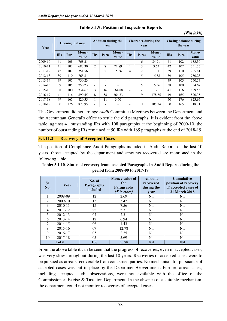| Year        | <b>Opening Balance</b> |      |                       | <b>Addition during the</b><br>year |                          |                          | <b>Clearance during the</b><br>year |                |                       | <b>Closing balance during</b><br>the year |      |                       |
|-------------|------------------------|------|-----------------------|------------------------------------|--------------------------|--------------------------|-------------------------------------|----------------|-----------------------|-------------------------------------------|------|-----------------------|
|             | <b>IRs</b>             | Para | <b>Money</b><br>value | <b>IRs</b>                         | Para                     | <b>Money</b><br>value    | <b>IRs</b>                          | <b>Paras</b>   | <b>Money</b><br>value | <b>IRs</b>                                | Para | <b>Money</b><br>value |
| $2009-10$   | 41                     | 108  | 768.21                | ٠                                  | $\overline{\phantom{a}}$ | $\overline{\phantom{0}}$ | $\overline{\phantom{0}}$            | 6              | 84.91                 | 41                                        | 102  | 683.30                |
| 2010-11     | 41                     | 102  | 683.30                | 2                                  | 8                        | 71.89                    |                                     | 3              | 3.63                  | 42                                        | 107  | 751.56                |
| 2011-12     | 42                     | 107  | 751.56                |                                    | 5                        | 15.56                    | 4                                   | $\overline{c}$ | 1.31                  | 39                                        | 110  | 765.81                |
| 2012-13     | 39                     | 110  | 765.81                |                                    | $\overline{\phantom{a}}$ |                          | $\overline{\phantom{0}}$            | 5              | 15.58                 | 39                                        | 105  | 750.23                |
| 2013-14     | 39                     | 105  | 750.23                | $\overline{\phantom{0}}$           | $\overline{\phantom{a}}$ |                          |                                     |                |                       | 39                                        | 105  | 750.23                |
| 2014-15     | 39                     | 105  | 750.23                | ٠                                  | $\overline{\phantom{a}}$ | $\overline{\phantom{0}}$ | 1                                   | 5              | 15.56                 | 38                                        | 100  | 734.67                |
| $2015 - 16$ | 38                     | 100  | 734.67                | 3                                  | 16                       | 164.88                   | $\overline{\phantom{0}}$            |                |                       | 41                                        | 116  | 899.55                |
| 2016-17     | 41                     | 116  | 899.55                | 8                                  | 58                       | 264.33                   | ٠                                   | 9              | 178.65                | 49                                        | 165  | 820.35                |
| 2017-18     | 49                     | 165  | 820.35                |                                    | 11                       | 3.60                     | $\overline{\phantom{0}}$            |                |                       | 50                                        | 176  | 823.95                |
| 2018-19     | 50                     | 176  | 823.95                | ٠                                  | $\overline{\phantom{0}}$ |                          | $\overline{\phantom{0}}$            | 11             | 105.24                | 50                                        | 165  | 718.71                |

**Table 5.1.9: Position of Inspection Reports** 

 $( \bar{\mathcal{F}}$ *in lakh)* 

The Government did not arrange *Audit* Committee Meetings between the Department and the Accountant General's office to settle the old paragraphs. It is evident from the above table, against 41 outstanding IRs with 108 paragraphs at the beginning of 2009-10, the number of outstanding IRs remained at 50 IRs with 165 paragraphs at the end of 2018-19.

# **5.1.11.2 Recovery of Accepted Cases**

The position of Compliance Audit Paragraphs included in Audit Reports of the last 10 years, those accepted by the department and amounts recovered are mentioned in the following table:

**Table: 5.1.10- Status of recovery from accepted Paragraphs in Audit Reports during the period from 2008-09 to 2017-18** 

| SI.<br>No.     | Year         | No. of<br><b>Paragraphs</b><br>included | <b>Money value of</b><br>the<br>Paragraphs<br>$(3\overline{5})$ in crore) | <b>Amount</b><br>recovered<br>during the<br>year | <b>Cumulative</b><br>position of recovery<br>of accepted cases of<br>31 March 2018 |
|----------------|--------------|-----------------------------------------|---------------------------------------------------------------------------|--------------------------------------------------|------------------------------------------------------------------------------------|
|                | 2008-09      | 12                                      | 2.69                                                                      | Nil                                              | Nil                                                                                |
| $\overline{2}$ | $2009-10$    | 15                                      | 3.42                                                                      | Nil                                              | N <sub>il</sub>                                                                    |
| $\mathbf{3}$   | 2010-11      | 15                                      | 7.56                                                                      | Nil                                              | Nil                                                                                |
| 4              | 2011-12      | 22                                      | 5.71                                                                      | Nil                                              | N <sub>il</sub>                                                                    |
| 5              | 2012-13      | 07                                      | 2.31                                                                      | Nil                                              | Nil                                                                                |
| 6              | 2013-14      | 12                                      | 6.94                                                                      | Nil                                              | N <sub>il</sub>                                                                    |
| 7              | 2014-15      | 06                                      | 1.43                                                                      | Nil                                              | Nil                                                                                |
| 8              | 2015-16      | 07                                      | 12.78                                                                     | Nil                                              | N <sub>il</sub>                                                                    |
| 9              | 2016-17      | 05                                      | 2.25                                                                      | Nil                                              | Nil                                                                                |
| 10             | 2017-18      | 05                                      | 5.69                                                                      | Nil                                              | N <sub>il</sub>                                                                    |
|                | <b>Total</b> | 106                                     | 50.78                                                                     | <b>Nil</b>                                       | Nil                                                                                |

From the above table it can be seen that the progress of recoveries, even in accepted cases, was very slow throughout during the last 10 years. Recoveries of accepted cases were to be pursued as arrears recoverable from concerned parties. No mechanism for pursuance of accepted cases was put in place by the Department/Government. Further, arrear cases, including accepted audit observations, were not available with the office of the Commissioner, Excise & Taxation Department. In the absence of a suitable mechanism, the department could not monitor recoveries of accepted cases.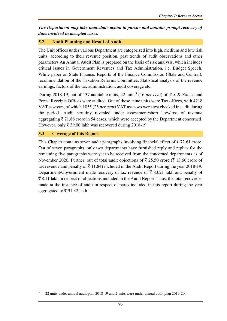*The Department may take immediate action to pursue and monitor prompt recovery of dues involved in accepted cases.* 

#### **5.2 Audit Planning and Result of Audit**

The Unit offices under various Department are categorized into high, medium and low risk units, according to their revenue position, past trends of audit observations and other parameters An Annual Audit Plan is prepared on the basis of risk analysis, which includes critical issues in Government Revenues and Tax Administration, i.e. Budget Speech, White paper on State Finance, Reports of the Finance Commission (State and Central), recommendation of the Taxation Reforms Committee, Statistical analysis of the revenue earnings, factors of the tax administration, audit coverage etc.

During 2018-19, out of 137 auditable units, 22 units 3 (16 *per cent*) of Tax & Excise and Forest Receipts Offices were audited. Out of these, nine units were Tax offices, with 4218 VAT assesses, of which 1055 (25 *per cent)* VAT assesses were test checked in audit during the period. Audit scrutiny revealed under assessment/short levy/loss of revenue aggregating  $\bar{\tau}$  71.86 crore in 54 cases, which were accepted by the Department concerned. However, only  $\bar{\mathcal{F}}$  39.00 lakh was recovered during 2018-19.

#### **5.3 Coverage of this Report**

 $\overline{a}$ 

This Chapter contains seven audit paragraphs involving financial effect of  $\bar{\tau}$  72.61 crore. Out of seven paragraphs, only two departments have furnished reply and replies for the remaining five paragraphs were yet to be received from the concerned departments as of November 2020. Further, out of total audit objections of  $\bar{\tau}$  25.50 crore ( $\bar{\tau}$  13.66 crore of tax revenue and penalty of  $\bar{\tau}$  11.84) included in the Audit Report during the year 2018-19, Department/Government made recovery of tax revenue of  $\bar{\tau}$  83.21 lakh and penalty of  $\bar{\xi}$  8.11 lakh in respect of objections included in the Audit Report. Thus, the total recoveries made at the instance of audit in respect of paras included in this report during the year aggregated to ₹91.32 lakh.

<sup>3</sup> 22 units under annual audit plan 2018-19 and 2 units were under annual audit plan 2019-20.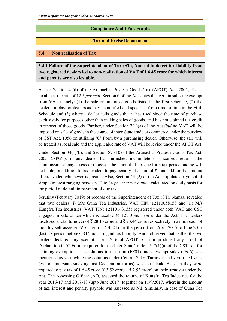# **Compliance Audit Paragraphs**

# **Tax and Excise Department**

#### **5.4 Non realisation of Tax**

**5.4.1 Failure of the Superintendent of Tax (ST), Namsai to detect tax liability from two registered dealers led to non-realization of VAT of** ` **6.45 crore for which interest and penalty are also leviable.** 

As per Section 4 (d) of the Arunachal Pradesh Goods Tax (APGT) Act, 2005, Tea is taxable at the rate of 12.5 *per cent*. Section 6 of the Act states that certain sales are exempt from VAT namely: (1) the sale or import of goods listed in the first schedule, (2) the dealers or class of dealers as may be notified and specified from time to time in the Fifth Schedule and (3) where a dealer sells goods that it has used since the time of purchase exclusively for purposes other than making sales of goods, and has not claimed tax credit in respect of those goods. Further, under Section 7(1)(a) of the Act *ibid* no VAT will be imposed on sale of goods in the course of inter-State trade or commerce under the purview of CST Act, 1956 on utilizing 'C' Form by a purchasing dealer. Otherwise, the sale will be treated as local sale and the applicable rate of VAT will be levied under the APGT Act.

Under Section 34(1)(b), and Section 87 (10) of the Arunachal Pradesh Goods Tax Act, 2005 (APGT), if any dealer has furnished incomplete or incorrect returns, the Commissioner may assess or re-assess the amount of tax due for a tax period and he will be liable, in addition to tax evaded, to pay penalty of a sum of  $\bar{\tau}$  one lakh or the amount of tax evaded whichever is greater. Also, Section 44 (2) of the Act stipulates payment of simple interest ranging between 12 to 24 *per cent* per *annum* calculated on daily basis for the period of default in payment of due tax.

Scrutiny (February 2019) of records of the Superintendent of Tax (ST), Namsai revealed that two dealers (i) M/s Guna Tea Industries, VAT TIN: 12110058158 and (ii) M/s Kungfra Tea Industries, VAT TIN: 12110143135) registered under both VAT and CST engaged in sale of tea which is taxable @ 12.50 *per cent* under the Act. The dealers disclosed a total turnover of  $\bar{\tau}$  28.13 crore and  $\bar{\tau}$  23.44 crore respectively in 27 nos each of monthly self-assessed VAT returns (FF-01) for the period from April 2015 to June 2017 (last tax period before GST) indicating nil tax liability. Audit observed that neither the two dealers declared any exempt sale U/s 6 of APGT Act nor produced any proof of Declaration in 'C Form' required for the Inter-State Trade U/s 7(1)(a) of the CST Act for claiming exemption. The columns in the form  $(FF01)$  under exempt sales (u/s 6) was mentioned as zero while the columns under Central Sales Turnover and zero rated sales (export, interstate sales against Declaration forms) was left blank. As such they were required to pay tax of  $\bar{\mathfrak{g}}$  6.45 crore ( $\bar{\mathfrak{g}}$  3.52 crore +  $\bar{\mathfrak{g}}$  2.93 crore) on their turnover under the Act. The Assessing Officer (AO) assessed the returns of Kungfra Tea Industries for the year 2016-17 and 2017-18 (upto June 2017) together on 11/9/2017, wherein the amount of tax, interest and penalty payable was assessed as Nil. Similarly, in case of Guna Tea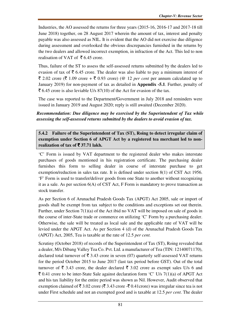Industries, the AO assessed the returns for three years (2015-16, 2016-17 and 2017-18 till June 2018) together, on 28 August 2017 wherein the amount of tax, interest and penalty payable was also assessed as NIL. It is evident that the AO did not exercise due diligence during assessment and overlooked the obvious discrepancies furnished in the returns by the two dealers and allowed incorrect exemption, in infraction of the Act. This led to non realisation of VAT of  $\bar{\bar{\xi}}$  6.45 crore.

Thus, failure of the ST to assess the self-assessed returns submitted by the dealers led to evasion of tax of  $\bar{\tau}$  6.45 crore. The dealer was also liable to pay a minimum interest of  $\bar{\xi}$  2.02 crore ( $\bar{\xi}$  1.09 crore +  $\bar{\xi}$  0.93 crore) (@ 12 *per cent* per annum calculated up to January 2019) for non-payment of tax as detailed in **Appendix -5.1**. Further, penalty of  $\bar{\xi}$  6.45 crore is also leviable U/s 87(10) of the Act for evasion of the tax.

The case was reported to the Department/Government in July 2018 and reminders were issued in January 2019 and August 2020; reply is still awaited (December 2020).

# *Recommendation: Due diligence may be exercised by the Superintendent of Tax while assessing the self-assessed returns submitted by the dealers to avoid evasion of tax.*

**5.4.2 Failure of the Superintendent of Tax (ST), Roing to detect irregular claim of exemption under Section 6 of APGT Act by a registered tea merchant led to non**realization of tax of  $\bar{\mathbf{z}}$  37.71 lakh.

'C' Form is issued by VAT department to the registered dealer who makes interstate purchases of goods mentioned in his registration certificate. The purchasing dealer furnishes this form to selling dealer in course of interstate purchase to get exemption/reduction in sales tax rate. It is defined under section 8(1) of CST Act 1956. 'F' Form is used to transfer/deliver goods from one State to another without recognizing it as a sale. As per section 6(A) of CST Act, F Form is mandatory to prove transaction as stock transfer.

As per Section 6 of Arunachal Pradesh Goods Tax (APGT) Act 2005, sale or import of goods shall be exempt from tax subject to the conditions and exceptions set out therein. Further, under Section 7(1)(a) of the Act ibid no VAT will be imposed on sale of goods in the course of inter-State trade or commerce on utilizing 'C' Form by a purchasing dealer. Otherwise, the sale will be treated as local sale and the applicable rate of VAT will be levied under the APGT Act. As per Section 4 (d) of the Arunachal Pradesh Goods Tax (APGT) Act, 2005, Tea is taxable at the rate of 12.5 *per cent.*

Scrutiny (October 2018) of records of the Superintendent of Tax (ST), Roing revealed that a dealer, M/s Dibang Valley Tea Co. Pvt. Ltd. a manufacturer of Tea (TIN: 12140071170), declared total turnover of  $\bar{\tau}$  3.43 crore in seven (07) quarterly self-assessed VAT returns for the period October 2015 to June 2017 (last tax period before GST). Out of the total turnover of  $\bar{\xi}$  3.43 crore, the dealer declared  $\bar{\xi}$  3.02 crore as exempt sales U/s 6 and  $\bar{\tau}$  0.41 crore to be inter-State Sale against declaration form 'C' U/s 7(1)(a) of APGT Act and his tax liability for the entire period was shown as Nil. However, Audit observed that exemption claimed of  $\bar{\xi}$  3.02 crore ( $\bar{\xi}$  3.43 crore - $\bar{\xi}$  0.41 crore) was irregular since tea is not under First schedule and not an exempted good and is taxable at 12.5 *per cent*. The dealer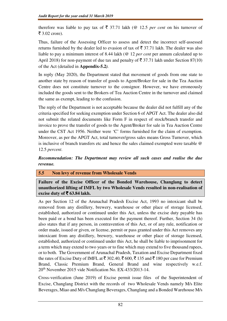therefore was liable to pay tax of  $\bar{\xi}$  37.71 lakh (@ 12.5 *per cent* on his turnover of  $\bar{z}$  3.02 crore).

Thus, failure of the Assessing Officer to assess and detect the incorrect self-assessed returns furnished by the dealer led to evasion of tax of  $\bar{\tau}$  37.71 lakh. The dealer was also liable to pay a minimum interest of 8.44 lakh (@ 12 *per cent* per annum calculated up to April 2018) for non-payment of due tax and penalty of  $\overline{\xi}$  37.71 lakh under Section 87(10) of the Act (detailed in **Appendix-5.2***).* 

In reply (May 2020), the Department stated that movement of goods from one state to another state by reason of transfer of goods to Agent/Broker for sale in the Tea Auction Centre does not constitute turnover to the consignor. However, we have erroneously included the goods sent to the Brokers of Tea Auction Centre in the turnover and claimed the same as exempt, leading to the confusion.

The reply of the Department is not acceptable because the dealer did not fulfill any of the criteria specified for seeking exemption under Section 6 of APGT Act. The dealer also did not submit the related documents like Form F in respect of stock/branch transfer and invoice to prove the transfer of goods to the Agent/Broker for sale in Tea Auction Centre under the CST Act 1956. Neither were 'C' forms furnished for the claim of exemption. Moreover, as per the APGT Act, total turnover/gross sales means Gross Turnover, which is inclusive of branch transfers etc and hence the sales claimed exempted were taxable @ 12.5 *percent*.

# *Recommendation: The Department may review all such cases and realise the due revenue.*

# **5.5 Non levy of revenue from Wholesale Vends**

**Failure of the Excise Officer of the Bonded Warehouse, Changlang to detect unauthorized lifting of IMFL by two Wholesale Vends resulted in non-realisation of excise duty of** ` **63.84 lakh.** 

As per Section 12 of the Arunachal Pradesh Excise Act, 1993 no intoxicant shall be removed from any distillery, brewery, warehouse or other place of storage licensed, established, authorized or continued under this Act, unless the excise duty payable has been paid or a bond has been executed for the payment thereof. Further, Section 34 (h) also states that if any person, in contravention of this Act, or of any rule, notification or order made, issued or given, or license, permit or pass granted under this Act removes any intoxicant from any distillery, brewery, warehouse or other place of storage licensed, established, authorized or continued under this Act, he shall be liable to imprisonment for a term which may extend to two years or to fine which may extend to five thousand rupees, or to both. The Government of Arunachal Pradesh, Taxation and Excise Department fixed the rates of Excise Duty of IMFL at  $\bar{\tau}$  302.40,  $\bar{\tau}$  600,  $\bar{\tau}$  135 and  $\bar{\tau}$  180 per case for Premium Brand, Classic Premium Brand, General Brand and wine respectively w.e.f. 20th November 2015 vide Notification No. EX-433/2013-14.

Cross-verification (June 2019) of Excise permit issue files of the Superintendent of Excise, Changlang District with the records of two Wholesale Vends namely M/s Elite Beverages, Miao and M/s Changlang Beverages, Changlang and a Bonded Warehouse M/s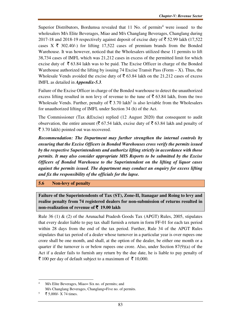Superior Distributors, Bordumsa revealed that  $11$  No. of permits<sup>4</sup> were issued to the wholesalers M/s Elite Beverages, Miao and M/s Changlang Beverages, Changlang during 2017-18 and 2018-19 respectively against deposit of excise duty of  $\bar{\tau}$  52.99 lakh (17,522) cases  $X \bar{\tau}$  302.40/-) for lifting 17,522 cases of premium brands from the Bonded Warehouse. It was however, noticed that the Wholesalers utilized these 11 permits to lift 38,734 cases of IMFL which was 21,212 cases in excess of the permitted limit for which excise duty of  $\bar{\tau}$  63.84 lakh was to be paid. The Excise Officer in charge of the Bonded Warehouse authorized the lifting by issuing 74 Excise Transit Pass (Form  $- X$ ). Thus, the Wholesale Vends avoided the excise duty of  $\bar{\bar{\xi}}$  63.84 lakh on the 21,212 cases of excess IMFL as detailed in *Appendix-5.3.*

Failure of the Excise Officer in charge of the Bonded warehouse to detect the unauthorized excess lifting resulted in non levy of revenue to the tune of  $\bar{\tau}$  63.84 lakh, from the two Wholesale Vends. Further, penalty of  $\bar{\tau}$  3.70 lakh<sup>5</sup> is also leviable from the Wholesalers for unauthorized lifting of IMFL under Section 34 (h) of the Act.

The Commissioner (Tax &Excise) replied (12 August 2020) that consequent to audit observation, the entire amount ( $\bar{\tau}$  67.54 lakh, excise duty of  $\bar{\tau}$  63.84 lakh and penalty of  $\bar{\xi}$  3.70 lakh) pointed out was recovered.

*Recommendation: The Department may further strengthen the internal controls by ensuring that the Excise Officers in Bonded Warehouses cross verify the permits issued by the respective Superintendents and authorize lifting strictly in accordance with those permits. It may also consider appropriate MIS Reports to be submitted by the Excise Officers of Bonded Warehouse to the Superintendent on the lifting of liquor cases against the permits issued. The department may conduct an enquiry for excess lifting and fix the responsibility of the officials for the lapse.* 

**5.6 Non-levy of penalty** 

**Failure of the Superintendents of Tax (ST), Zone-II, Itanagar and Roing to levy and realise penalty from 74 registered dealers for non-submission of returns resulted in non-realization of revenue of** ` **19.00 lakh** 

Rule 36 (1) & (2) of the Arunachal Pradesh Goods Tax (APGT) Rules, 2005, stipulates that every dealer liable to pay tax shall furnish a return in form FF-01 for each tax period within 28 days from the end of the tax period. Further, Rule 34 of the APGT Rules stipulates that tax period of a dealer whose turnover in a particular year is over rupees one crore shall be one month, and shall, at the option of the dealer, be either one month or a quarter if the turnover is or below rupees one crore. Also, under Section 87(9)(a) of the Act if a dealer fails to furnish any return by the due date, he is liable to pay penalty of  $\bar{\tau}$  100 per day of default subject to a maximum of  $\bar{\tau}$  10,000.

<sup>4</sup> M/s Elite Beverages, Miao= Six no. of permits; and M/s Changlang Beverages, Changlang=Five no. of permits.

<sup>5</sup> ₹ 5,000/- X 74 times.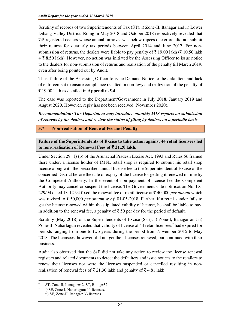Scrutiny of records of two Superintendents of Tax (ST), i) Zone-II, Itanagar and ii) Lower Dibang Valley District, Roing in May 2018 and October 2018 respectively revealed that 74<sup>6</sup> registered dealers whose annual turnover was below rupees one crore, did not submit their returns for quarterly tax periods between April 2014 and June 2017. For nonsubmission of returns, the dealers were liable to pay penalty of  $\bar{\tau}$  19.00 lakh ( $\bar{\tau}$  10.50 lakh  $+ \overline{\xi}$  8.50 lakh). However, no action was initiated by the Assessing Officer to issue notice to the dealers for non-submission of returns and realisation of the penalty till March 2019, even after being pointed out by Audit.

Thus, failure of the Assessing Officer to issue Demand Notice to the defaulters and lack of enforcement to ensure compliance resulted in non-levy and realization of the penalty of ` 19.00 lakh as detailed in **Appendix -5.4**.

The case was reported to the Department/Government in July 2018, January 2019 and August 2020. However, reply has not been received (November 2020).

*Recommendation: The Department may introduce monthly MIS reports on submission of returns by the dealers and review the status of filing by dealers on a periodic basis.* 

**5.7 Non-realisation of Renewal Fee and Penalty** 

l

7

**Failure of the Superintendents of Excise to take action against 44 retail licensees led to non-realisation of Renewal Fees of** ` **21.20 lakh.** 

Under Section 29 (1) (b) of the Arunachal Pradesh Excise Act, 1993 and Rules 56 framed there under, a license holder of IMFL retail shop is required to submit his retail shop license along with the prescribed annual license fee to the Superintendent of Excise of the concerned District before the date of expiry of the license for getting it renewed in time by the Competent Authority. In the event of non-payment of license fee the Competent Authority may cancel or suspend the license. The Government vide notification No. Ex-229/94 dated 13-12-94 fixed the renewal fee of retail license at  $\bar{\tau}$  40,000 *per annum* which was revised to  $\bar{\xi}$  50,000 *per annum w.e.f.* 01-05-2018. Further, if a retail vendor fails to get the license renewed within the stipulated validity of license, he shall be liable to pay, in addition to the renewal fee, a penalty of  $\bar{\tau}$  50 per day for the period of default.

Scrutiny (May 2018) of the Superintendents of Excise (SsE): i) Zone-I, Itanagar and ii) Zone-II, Naharlagun revealed that validity of license of 44 retail licensees<sup>7</sup> had expired for periods ranging from one to two years during the period from November 2015 to May 2018. The licensees, however, did not get their licenses renewed, but continued with their business.

Audit also observed that the SsE did not take any action to review the license renewal registers and related documents to detect the defaulters and issue notices to the retailers to renew their licenses nor were the licenses suspended or cancelled resulting in nonrealisation of renewal fees of  $\bar{\mathfrak{g}}$  21.30 lakh and penalty of  $\bar{\mathfrak{g}}$  4.81 lakh.

<sup>6</sup> ST, Zone-II, Itanagar=42; ST, Roing=32.

i) SE, Zone-I, Naharlagun: 11 licenses. ii) SE, Zone-II, Itanagar: 33 licenses.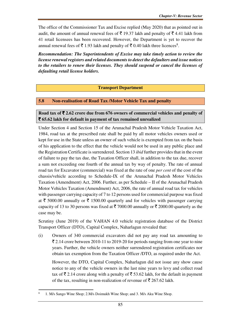The office of the Commissioner Tax and Excise replied (May 2020) that as pointed out in audit, the amount of annual renewal fees of  $\bar{\tau}$  19.37 lakh and penalty of  $\bar{\tau}$  4.41 lakh from 41 retail licensees has been recovered. However, the Department is yet to recover the annual renewal fees of  $\bar{\tau}$  1.93 lakh and penalty of  $\bar{\tau}$  0.40 lakh three licences<sup>8</sup>.

*Recommendation: The Superintendents of Excise may take timely action to review the license renewal registers and related documents to detect the defaulters and issue notices to the retailers to renew their licenses. They should suspend or cancel the licenses of defaulting retail license holders.* 

#### **Transport Department**

#### **5.8 Non-realisation of Road Tax /Motor Vehicle Tax and penalty**

Road tax of ₹2.62 crore due from 676 owners of commercial vehicles and penalty of ` **65.62 lakh for default in payment of tax remained unrealized** 

Under Section 4 and Section 15 of the Arunachal Pradesh Motor Vehicle Taxation Act, 1984, road tax at the prescribed rate shall be paid by all motor vehicles owners used or kept for use in the State unless an owner of such vehicle is exempted from tax on the basis of his application to the effect that the vehicle would not be used in any public place and the Registration Certificate is surrendered. Section 13 *ibid* further provides that in the event of failure to pay the tax due, the Taxation Officer shall, in addition to the tax due, recover a sum not exceeding one fourth of the annual tax by way of penalty. The rate of annual road tax for Excavator (commercial) was fixed at the rate of one *per cent* of the cost of the chassis/vehicle according to Schedule-IX of the Arunachal Pradesh Motor Vehicles Taxation (Amendment) Act, 2006. Further, as per Schedule – II of the Arunachal Pradesh Motor Vehicles Taxation (Amendment) Act, 2006, the rate of annual road tax for vehicles with passenger carrying capacity of 7 to 12 persons used for commercial purpose was fixed at  $\bar{\tau}$  5000.00 annually or  $\bar{\tau}$  1500.00 quarterly and for vehicles with passenger carrying capacity of 13 to 30 persons was fixed at  $\bar{\tau}$  7000.00 annually or  $\bar{\tau}$  2000.00 quarterly as the case may be.

Scrutiny (June 2019) of the VAHAN 4.0 vehicle registration database of the District Transport Officer (DTO), Capital Complex, Naharlagun revealed that:

(i) Owners of 340 commercial excavators did not pay any road tax amounting to  $\bar{\xi}$  2.14 crore between 2010-11 to 2019-20 for periods ranging from one year to nine years. Further, the vehicle owners neither surrendered registration certificates nor obtain tax exemption from the Taxation Officer /DTO, as required under the Act.

 However, the DTO, Capital Complex, Naharlagun did not issue any show cause notice to any of the vehicle owners in the last nine years to levy and collect road tax of  $\bar{\mathcal{F}}$  2.14 crore along with a penalty of  $\bar{\mathcal{F}}$  53.62 lakh, for the default in payment of the tax, resulting in non-realization of revenue of  $\bar{\tau}$  267.62 lakh.

<sup>8</sup> 1. M/s Sango Wine Shop; 2.M/s Doimukh Wine Shop; and 3. M/s Aku Wine Shop.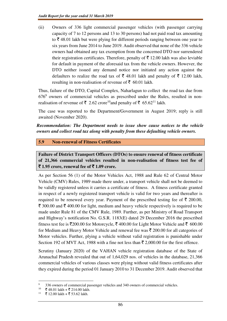(ii) Owners of 336 light commercial passenger vehicles (with passenger carrying capacity of 7 to 12 persons and 13 to 30 persons) had not paid road tax amounting to  $\bar{\tau}$  48.01 lakh but were plying for different periods ranging between one year to six years from June 2014 to June 2019. Audit observed that none of the 336 vehicle owners had obtained any tax exemption from the concerned DTO nor surrendered their registration certificates. Therefore, penalty of  $\bar{\tau}$  12.00 lakh was also leviable for default in payment of the aforesaid tax from the vehicle owners. However, the DTO neither issued any demand notice nor initiated any action against the defaulters to realize the road tax of  $\bar{\xi}$  48.01 lakh and penalty of  $\bar{\xi}$  12.00 lakh, resulting in non-realisation of revenue of  $\bar{\epsilon}$  60.01 lakh.

Thus, failure of the DTO, Capital Complex, Naharlagun to collect the road tax due from  $676<sup>9</sup>$  owners of commercial vehicles as prescribed under the Rules, resulted in nonrealisation of revenue of  $\bar{\tau}$  2.62 crore<sup>10</sup>and penalty of  $\bar{\tau}$  65.62<sup>11</sup> lakh.

The case was reported to the Department/Government in August 2019; reply is still awaited (November 2020).

*Recommendation: The Department needs to issue show cause notices to the vehicle owners and collect road tax along with penalty from these defaulting vehicle owners.* 

# **5.9 Non-renewal of Fitness Certificates**

**Failure of District Transport Officers (DTOs) to ensure renewal of fitness certificate of 21,366 commercial vehicles resulted in non-realisation of fitness test fee of**  ` **1.95 crore, renewal fee of** ` **1.09 crore.** 

As per Section 56 (1) of the Motor Vehicles Act, 1988 and Rule 62 of Central Motor Vehicle (CMV) Rules, 1989 made there under, a transport vehicle shall not be deemed to be validly registered unless it carries a certificate of fitness. A fitness certificate granted in respect of a newly registered transport vehicle is valid for two years and thereafter is required to be renewed every year. Payment of the prescribed testing fee of  $\bar{\tau}$  200.00,  $\bar{\xi}$  300.00 and  $\bar{\xi}$  400.00 for light, medium and heavy vehicle respectively is required to be made under Rule 81 of the CMV Rule, 1989. Further, as per Ministry of Road Transport and Highway's notification No. G.S.R. 1183(E) dated 29 December 2016 the prescribed fitness test fee is  $\bar{\mathcal{F}}$ 200.00 for Motorcycle,  $\bar{\mathcal{F}}$  400.00 for Light Motor Vehicle and  $\bar{\mathcal{F}}$  600.00 for Medium and Heavy Motor Vehicle and renewal fee was  $\bar{\tau}$  200.00 for all categories of Motor vehicles. Further, plying a vehicle without valid registration is punishable under Section 192 of MVT Act, 1988 with a fine not less than  $\bar{\tau}$  2,000.00 for the first offence.

Scrutiny (January 2020) of the VAHAN vehicle registration database of the State of Arunachal Pradesh revealed that out of 1,64,029 nos. of vehicles in the database, 21,366 commercial vehicles of various classes were plying without valid fitness certificates after they expired during the period 01 January 2010 to 31 December 2019. Audit observed that

 $\overline{a}$ 

<sup>9</sup> <sup>9</sup> 336 owners of commercial passenger vehicles and 340 owners of commercial vehicles.<br><sup>10</sup>  $\overline{Z}$  48.01 lakh  $\overline{Z}$  214.00 lakh

 $\frac{10}{5}$   $\frac{1}{2}$  48.01 lakh +  $\frac{1}{2}$  214.00 lakh.

<sup>₹ 12.00</sup> lakh + ₹ 53.62 lakh.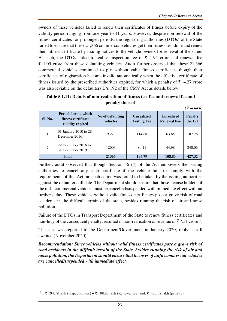$(5$  in lakh)

owners of these vehicles failed to renew their certificates of fitness before expiry of the validity period ranging from one year to 11 years. However, despite non-renewal of the fitness certificates for prolonged periods, the registering authorities (DTOs) of the State failed to ensure that these 21,366 commercial vehicles get their fitness test done and renew their fitness certificate by issuing notices to the vehicle owners for renewal of the same. As such, the DTOs failed to realise inspection fee of  $\bar{\tau}$  1.95 crore and renewal fee  $\bar{\tau}$  1.09 crore from these defaulting vehicles. Audit further observed that these 21,366 commercial vehicles continued to ply without valid fitness certificates though their certificates of registration become invalid automatically when the effective certificate of fitness issued by the prescribed authorities expired, for which a penalty of  $\bar{\tau}$  4.27 crore was also leviable on the defaulters U/s 192 of the CMV Act as details below:

| Table 5.1.11: Details of non-realisation of fitness test fee and renewal fee and |  |  |  |  |
|----------------------------------------------------------------------------------|--|--|--|--|
| penalty thereof                                                                  |  |  |  |  |

| <b>Sl. No.</b> | Period during which<br>fitness certificate<br>validity expired | No of defaulting<br>vehicles | <b>Unrealized</b><br><b>Testing Fee</b> | <b>Unrealized</b><br><b>Renewal Fee</b> | <b>Penalty</b><br><b>U/s 192</b> |
|----------------|----------------------------------------------------------------|------------------------------|-----------------------------------------|-----------------------------------------|----------------------------------|
|                | 01 January 2010 to 28<br>December 2016                         | 9363                         | 114.68                                  | 63.85                                   | 187.26                           |
| 2              | 29 December 2016 to<br>31 December 2019                        | 12003                        | 80.11                                   | 44.98                                   | 240.06                           |
| <b>Total</b>   |                                                                | 21366                        | 194.79                                  | 108.83                                  | 427.32                           |

Further, audit observed that though Section 56 (4) of the Act empowers the issuing authorities to cancel any such certificate if the vehicle fails to comply with the requirements of this Act, no such action was found to be taken by the issuing authorities against the defaulters till date. The Department should ensure that those license holders of the unfit commercial vehicles must be cancelled/suspended with immediate effect without further delay. These vehicles without valid fitness certificates pose a grave risk of road accidents in the difficult terrain of the state, besides running the risk of air and noise pollution.

Failure of the DTOs in Transport Department of the State to renew fitness certificates and non-levy of the consequent penalty, resulted in non-realisation of revenue of  $\bar{\mathbf{z}}$  7.31 crore<sup>12</sup>.

The case was reported to the Department/Government in January 2020; reply is still awaited (November 2020).

*Recommendation: Since vehicles without valid fitness certificates pose a grave risk of road accidents in the difficult terrain of the State, besides running the risk of air and noise pollution, the Department should ensure that licenses of unfit commercial vehicles are cancelled/suspended with immediate effect.* 

<sup>&</sup>lt;sup>12</sup>  $\bar{\tau}$  194.79 lakh (Inspection fee) +  $\bar{\tau}$  108.83 lakh (Renewal fee) and:  $\bar{\tau}$  427.32 lakh (penalty).